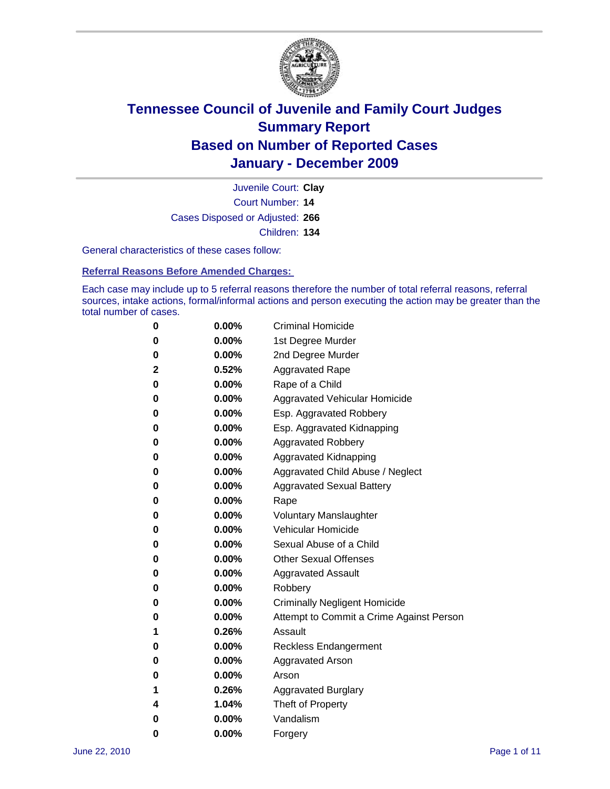

Court Number: **14** Juvenile Court: **Clay** Cases Disposed or Adjusted: **266** Children: **134**

General characteristics of these cases follow:

**Referral Reasons Before Amended Charges:** 

Each case may include up to 5 referral reasons therefore the number of total referral reasons, referral sources, intake actions, formal/informal actions and person executing the action may be greater than the total number of cases.

| 0 | $0.00\%$ | <b>Criminal Homicide</b>                 |
|---|----------|------------------------------------------|
| 0 | $0.00\%$ | 1st Degree Murder                        |
| 0 | $0.00\%$ | 2nd Degree Murder                        |
| 2 | 0.52%    | <b>Aggravated Rape</b>                   |
| 0 | $0.00\%$ | Rape of a Child                          |
| 0 | $0.00\%$ | <b>Aggravated Vehicular Homicide</b>     |
| 0 | $0.00\%$ | Esp. Aggravated Robbery                  |
| 0 | $0.00\%$ | Esp. Aggravated Kidnapping               |
| 0 | $0.00\%$ | <b>Aggravated Robbery</b>                |
| 0 | $0.00\%$ | Aggravated Kidnapping                    |
| 0 | $0.00\%$ | Aggravated Child Abuse / Neglect         |
| 0 | 0.00%    | <b>Aggravated Sexual Battery</b>         |
| 0 | $0.00\%$ | Rape                                     |
| 0 | $0.00\%$ | <b>Voluntary Manslaughter</b>            |
| 0 | $0.00\%$ | Vehicular Homicide                       |
| 0 | $0.00\%$ | Sexual Abuse of a Child                  |
| 0 | $0.00\%$ | <b>Other Sexual Offenses</b>             |
| 0 | $0.00\%$ | <b>Aggravated Assault</b>                |
| 0 | 0.00%    | Robbery                                  |
| 0 | $0.00\%$ | <b>Criminally Negligent Homicide</b>     |
| 0 | $0.00\%$ | Attempt to Commit a Crime Against Person |
| 1 | 0.26%    | Assault                                  |
| 0 | $0.00\%$ | <b>Reckless Endangerment</b>             |
| 0 | $0.00\%$ | <b>Aggravated Arson</b>                  |
| 0 | $0.00\%$ | Arson                                    |
| 1 | $0.26\%$ | <b>Aggravated Burglary</b>               |
| 4 | 1.04%    | Theft of Property                        |
| 0 | $0.00\%$ | Vandalism                                |
| 0 | $0.00\%$ | Forgery                                  |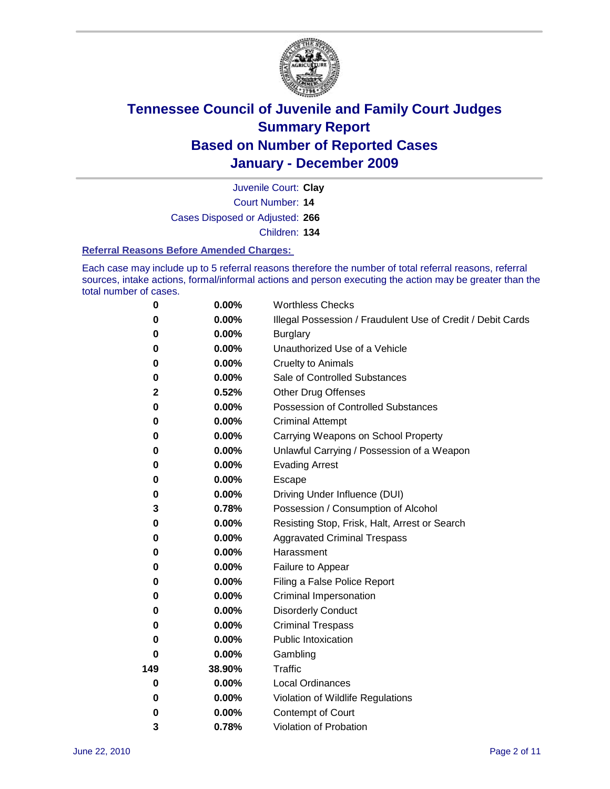

Court Number: **14** Juvenile Court: **Clay** Cases Disposed or Adjusted: **266** Children: **134**

#### **Referral Reasons Before Amended Charges:**

Each case may include up to 5 referral reasons therefore the number of total referral reasons, referral sources, intake actions, formal/informal actions and person executing the action may be greater than the total number of cases.

| $\pmb{0}$ | 0.00%    | <b>Worthless Checks</b>                                     |
|-----------|----------|-------------------------------------------------------------|
| 0         | 0.00%    | Illegal Possession / Fraudulent Use of Credit / Debit Cards |
| 0         | 0.00%    | <b>Burglary</b>                                             |
| 0         | 0.00%    | Unauthorized Use of a Vehicle                               |
| 0         | $0.00\%$ | <b>Cruelty to Animals</b>                                   |
| $\bf{0}$  | 0.00%    | Sale of Controlled Substances                               |
| 2         | 0.52%    | <b>Other Drug Offenses</b>                                  |
| 0         | 0.00%    | Possession of Controlled Substances                         |
| 0         | $0.00\%$ | <b>Criminal Attempt</b>                                     |
| 0         | 0.00%    | Carrying Weapons on School Property                         |
| 0         | $0.00\%$ | Unlawful Carrying / Possession of a Weapon                  |
| 0         | $0.00\%$ | <b>Evading Arrest</b>                                       |
| 0         | 0.00%    | Escape                                                      |
| 0         | 0.00%    | Driving Under Influence (DUI)                               |
| 3         | 0.78%    | Possession / Consumption of Alcohol                         |
| 0         | 0.00%    | Resisting Stop, Frisk, Halt, Arrest or Search               |
| 0         | 0.00%    | <b>Aggravated Criminal Trespass</b>                         |
| 0         | $0.00\%$ | Harassment                                                  |
| 0         | 0.00%    | Failure to Appear                                           |
| 0         | 0.00%    | Filing a False Police Report                                |
| 0         | 0.00%    | Criminal Impersonation                                      |
| 0         | $0.00\%$ | <b>Disorderly Conduct</b>                                   |
| 0         | $0.00\%$ | <b>Criminal Trespass</b>                                    |
| 0         | 0.00%    | Public Intoxication                                         |
| 0         | $0.00\%$ | Gambling                                                    |
| 149       | 38.90%   | <b>Traffic</b>                                              |
| 0         | $0.00\%$ | <b>Local Ordinances</b>                                     |
| 0         | 0.00%    | Violation of Wildlife Regulations                           |
| 0         | $0.00\%$ | Contempt of Court                                           |
| 3         | 0.78%    | Violation of Probation                                      |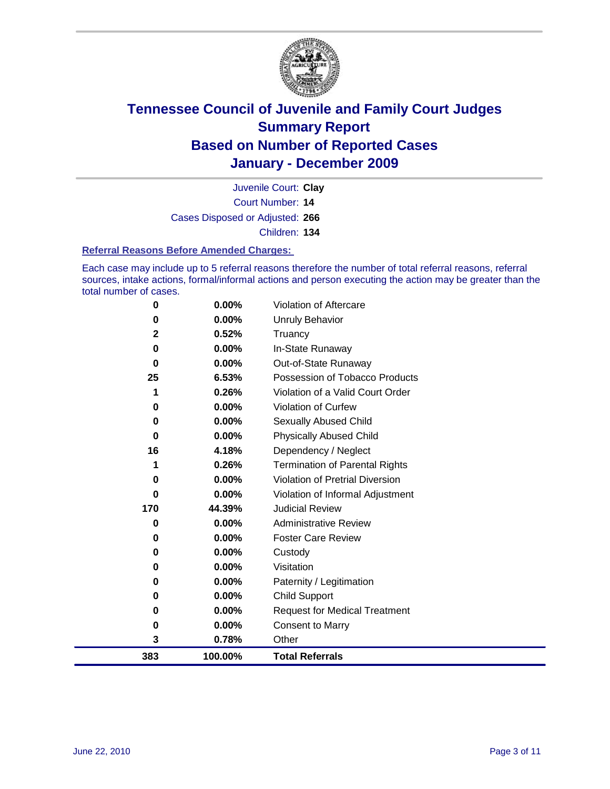

Court Number: **14** Juvenile Court: **Clay** Cases Disposed or Adjusted: **266** Children: **134**

#### **Referral Reasons Before Amended Charges:**

Each case may include up to 5 referral reasons therefore the number of total referral reasons, referral sources, intake actions, formal/informal actions and person executing the action may be greater than the total number of cases.

| 0            | 0.00%    | Violation of Aftercare                 |
|--------------|----------|----------------------------------------|
| 0            | 0.00%    | <b>Unruly Behavior</b>                 |
| $\mathbf{2}$ | 0.52%    | Truancy                                |
| $\bf{0}$     | 0.00%    | In-State Runaway                       |
| $\bf{0}$     | $0.00\%$ | Out-of-State Runaway                   |
| 25           | 6.53%    | Possession of Tobacco Products         |
|              | 0.26%    | Violation of a Valid Court Order       |
| 0            | $0.00\%$ | Violation of Curfew                    |
| 0            | $0.00\%$ | Sexually Abused Child                  |
| $\bf{0}$     | $0.00\%$ | <b>Physically Abused Child</b>         |
| 16           | 4.18%    | Dependency / Neglect                   |
|              | 0.26%    | <b>Termination of Parental Rights</b>  |
| 0            | 0.00%    | <b>Violation of Pretrial Diversion</b> |
| 0            | 0.00%    | Violation of Informal Adjustment       |
| 170          | 44.39%   | <b>Judicial Review</b>                 |
| 0            | $0.00\%$ | <b>Administrative Review</b>           |
| 0            | 0.00%    | <b>Foster Care Review</b>              |
| 0            | $0.00\%$ | Custody                                |
| 0            | 0.00%    | Visitation                             |
| 0            | 0.00%    | Paternity / Legitimation               |
| 0            | 0.00%    | Child Support                          |
| 0            | $0.00\%$ | <b>Request for Medical Treatment</b>   |
| 0            | 0.00%    | <b>Consent to Marry</b>                |
| 3            | 0.78%    | Other                                  |
| 383          | 100.00%  | <b>Total Referrals</b>                 |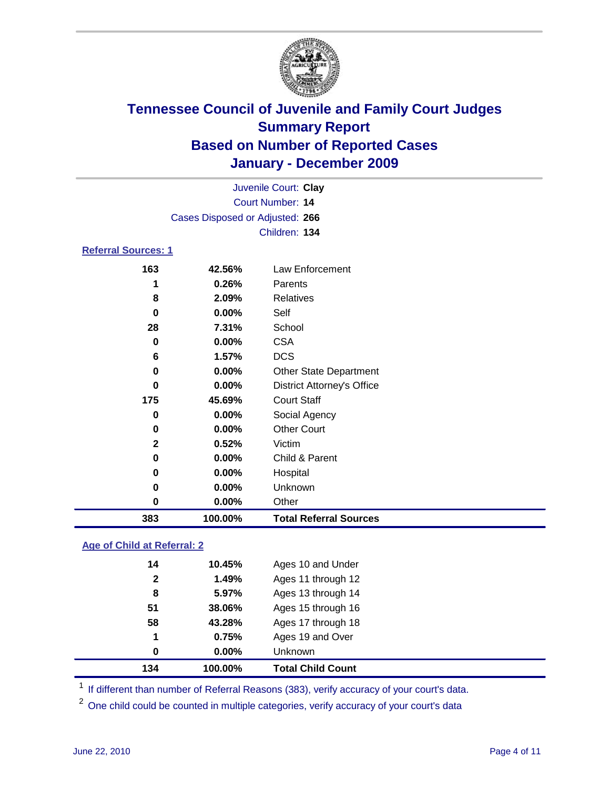

|                            | Juvenile Court: Clay            |                                   |  |  |
|----------------------------|---------------------------------|-----------------------------------|--|--|
|                            | <b>Court Number: 14</b>         |                                   |  |  |
|                            | Cases Disposed or Adjusted: 266 |                                   |  |  |
| Children: 134              |                                 |                                   |  |  |
| <b>Referral Sources: 1</b> |                                 |                                   |  |  |
| 163                        | 42.56%                          | <b>Law Enforcement</b>            |  |  |
| 1                          | 0.26%                           | Parents                           |  |  |
| 8                          | 2.09%                           | <b>Relatives</b>                  |  |  |
| 0                          | 0.00%                           | Self                              |  |  |
| 28                         | 7.31%                           | School                            |  |  |
| 0                          | 0.00%                           | <b>CSA</b>                        |  |  |
| 6                          | 1.57%                           | <b>DCS</b>                        |  |  |
| 0                          | 0.00%                           | <b>Other State Department</b>     |  |  |
| 0                          | 0.00%                           | <b>District Attorney's Office</b> |  |  |
| 175                        | 45.69%                          | <b>Court Staff</b>                |  |  |
| 0                          | 0.00%                           | Social Agency                     |  |  |
| 0                          | 0.00%                           | <b>Other Court</b>                |  |  |
| $\mathbf 2$                | 0.52%                           | Victim                            |  |  |
| $\bf{0}$                   | 0.00%                           | Child & Parent                    |  |  |
| 0                          | 0.00%                           | Hospital                          |  |  |
| 0                          | 0.00%                           | Unknown                           |  |  |
| 0                          | 0.00%                           | Other                             |  |  |
| 383                        | 100.00%                         | <b>Total Referral Sources</b>     |  |  |

#### **Age of Child at Referral: 2**

| 51<br>58<br>1<br>0 | 38.06%<br>43.28%<br>0.75%<br>$0.00\%$ | Ages 15 through 16<br>Ages 17 through 18<br>Ages 19 and Over<br><b>Unknown</b> |
|--------------------|---------------------------------------|--------------------------------------------------------------------------------|
|                    |                                       |                                                                                |
|                    |                                       |                                                                                |
|                    |                                       |                                                                                |
|                    |                                       |                                                                                |
| 8                  | 5.97%                                 | Ages 13 through 14                                                             |
| $\mathbf{2}$       | 1.49%                                 | Ages 11 through 12                                                             |
| 14                 |                                       | Ages 10 and Under                                                              |
|                    |                                       | 10.45%                                                                         |

<sup>1</sup> If different than number of Referral Reasons (383), verify accuracy of your court's data.

<sup>2</sup> One child could be counted in multiple categories, verify accuracy of your court's data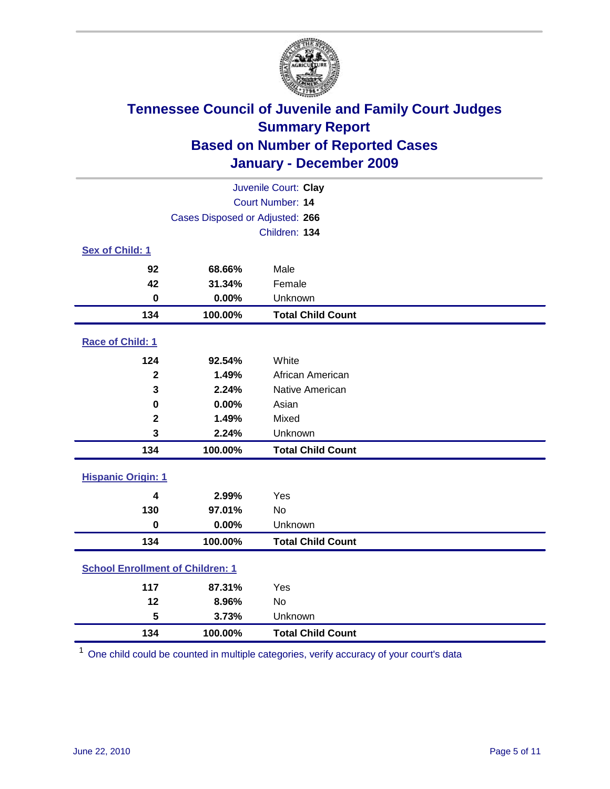

| Juvenile Court: Clay                    |                                 |                          |  |
|-----------------------------------------|---------------------------------|--------------------------|--|
|                                         |                                 | Court Number: 14         |  |
|                                         | Cases Disposed or Adjusted: 266 |                          |  |
|                                         |                                 | Children: 134            |  |
| Sex of Child: 1                         |                                 |                          |  |
| 92                                      | 68.66%                          | Male                     |  |
| 42                                      | 31.34%                          | Female                   |  |
| $\bf{0}$                                | 0.00%                           | Unknown                  |  |
| 134                                     | 100.00%                         | <b>Total Child Count</b> |  |
| Race of Child: 1                        |                                 |                          |  |
| 124                                     | 92.54%                          | White                    |  |
| $\mathbf{2}$                            | 1.49%                           | African American         |  |
| 3                                       | 2.24%                           | Native American          |  |
| $\mathbf 0$                             | 0.00%                           | Asian                    |  |
| $\mathbf{2}$                            | 1.49%                           | Mixed                    |  |
| 3                                       | 2.24%                           | Unknown                  |  |
| 134                                     | 100.00%                         | <b>Total Child Count</b> |  |
| <b>Hispanic Origin: 1</b>               |                                 |                          |  |
| $\overline{\mathbf{4}}$                 | 2.99%                           | Yes                      |  |
| 130                                     | 97.01%                          | <b>No</b>                |  |
| $\mathbf 0$                             | 0.00%                           | Unknown                  |  |
| 134                                     | 100.00%                         | <b>Total Child Count</b> |  |
| <b>School Enrollment of Children: 1</b> |                                 |                          |  |
| 117                                     | 87.31%                          | Yes                      |  |
| 12                                      | 8.96%                           | No                       |  |
| 5                                       | 3.73%                           | Unknown                  |  |
| 134                                     | 100.00%                         | <b>Total Child Count</b> |  |

One child could be counted in multiple categories, verify accuracy of your court's data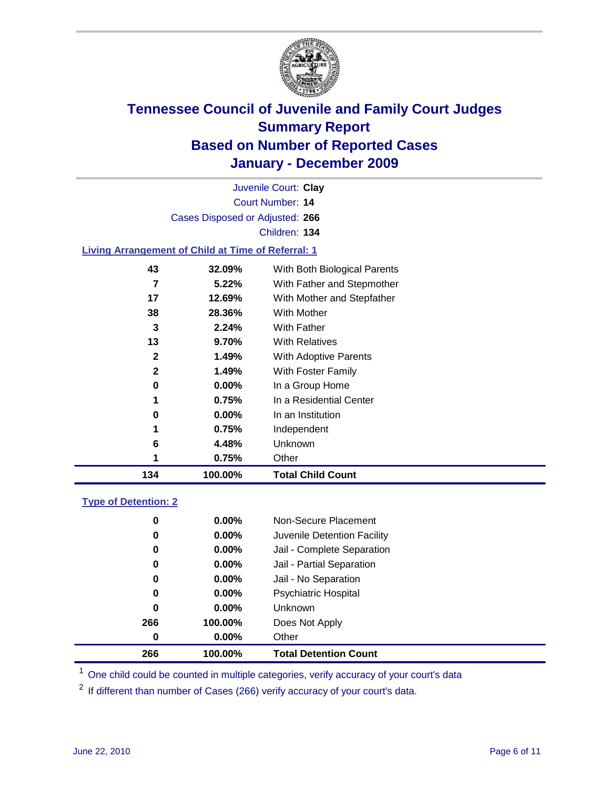

Court Number: **14** Juvenile Court: **Clay** Cases Disposed or Adjusted: **266** Children: **134**

#### **Living Arrangement of Child at Time of Referral: 1**

| 1<br>0<br>1<br>6<br>1 | 0.75%<br>$0.00\%$<br>0.75%<br>4.48%<br>0.75% | In a Residential Center<br>In an Institution<br>Independent<br>Unknown<br>Other |  |
|-----------------------|----------------------------------------------|---------------------------------------------------------------------------------|--|
|                       |                                              |                                                                                 |  |
|                       |                                              |                                                                                 |  |
|                       |                                              |                                                                                 |  |
|                       |                                              |                                                                                 |  |
|                       |                                              |                                                                                 |  |
|                       | $0.00\%$                                     | In a Group Home                                                                 |  |
| 2                     | 1.49%                                        | With Foster Family                                                              |  |
| 2                     | 1.49%                                        | With Adoptive Parents                                                           |  |
| 13                    | 9.70%                                        | <b>With Relatives</b>                                                           |  |
| 3                     | 2.24%                                        | With Father                                                                     |  |
| 38                    | 28.36%                                       | With Mother                                                                     |  |
| 17                    | 12.69%                                       | With Mother and Stepfather                                                      |  |
| 7                     | 5.22%                                        | With Father and Stepmother                                                      |  |
| 43                    | 32.09%                                       | With Both Biological Parents                                                    |  |
|                       | 0                                            |                                                                                 |  |

#### **Type of Detention: 2**

| 266      | 100.00%  | <b>Total Detention Count</b> |
|----------|----------|------------------------------|
| $\bf{0}$ | $0.00\%$ | Other                        |
| 266      | 100.00%  | Does Not Apply               |
| 0        | $0.00\%$ | Unknown                      |
| 0        | $0.00\%$ | <b>Psychiatric Hospital</b>  |
| 0        | 0.00%    | Jail - No Separation         |
| 0        | 0.00%    | Jail - Partial Separation    |
| 0        | $0.00\%$ | Jail - Complete Separation   |
| 0        | 0.00%    | Juvenile Detention Facility  |
| 0        | $0.00\%$ | Non-Secure Placement         |
|          |          |                              |

<sup>1</sup> One child could be counted in multiple categories, verify accuracy of your court's data

<sup>2</sup> If different than number of Cases (266) verify accuracy of your court's data.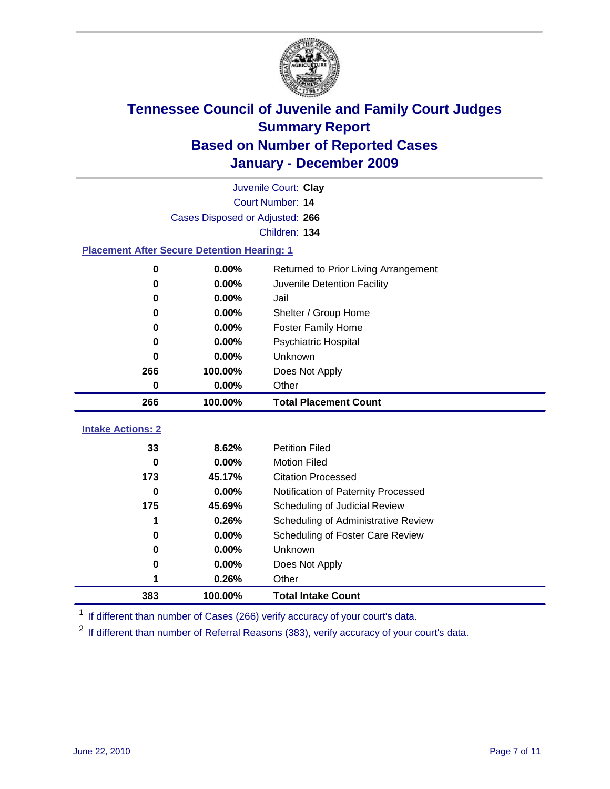

|                                                    | Juvenile Court: Clay |                                      |  |  |  |  |
|----------------------------------------------------|----------------------|--------------------------------------|--|--|--|--|
| Court Number: 14                                   |                      |                                      |  |  |  |  |
| Cases Disposed or Adjusted: 266                    |                      |                                      |  |  |  |  |
| Children: 134                                      |                      |                                      |  |  |  |  |
| <b>Placement After Secure Detention Hearing: 1</b> |                      |                                      |  |  |  |  |
| 0                                                  | 0.00%                | Returned to Prior Living Arrangement |  |  |  |  |
| 0                                                  | 0.00%                | Juvenile Detention Facility          |  |  |  |  |
| 0                                                  | 0.00%                | Jail                                 |  |  |  |  |
| 0                                                  | 0.00%                | Shelter / Group Home                 |  |  |  |  |
| 0                                                  | 0.00%                | <b>Foster Family Home</b>            |  |  |  |  |
| 0                                                  | 0.00%                | Psychiatric Hospital                 |  |  |  |  |
| 0                                                  | 0.00%                | Unknown                              |  |  |  |  |
| 266                                                | 100.00%              | Does Not Apply                       |  |  |  |  |
| 0                                                  | 0.00%                | Other                                |  |  |  |  |
| 266                                                | 100.00%              | <b>Total Placement Count</b>         |  |  |  |  |
| <b>Intake Actions: 2</b>                           |                      |                                      |  |  |  |  |
| 33                                                 | 8.62%                | <b>Petition Filed</b>                |  |  |  |  |
| $\bf{0}$                                           | 0.00%                | <b>Motion Filed</b>                  |  |  |  |  |
| 173                                                | 45.17%               | <b>Citation Processed</b>            |  |  |  |  |
| 0                                                  | 0.00%                | Notification of Paternity Processed  |  |  |  |  |
| 175                                                | 45.69%               | Scheduling of Judicial Review        |  |  |  |  |
| 1                                                  | 0.26%                | Scheduling of Administrative Review  |  |  |  |  |
| 0                                                  | 0.00%                | Scheduling of Foster Care Review     |  |  |  |  |
| 0                                                  | 0.00%                | Unknown                              |  |  |  |  |
| 0                                                  | 0.00%                | Does Not Apply                       |  |  |  |  |
| 1                                                  | 0.26%                | Other                                |  |  |  |  |

<sup>1</sup> If different than number of Cases (266) verify accuracy of your court's data.

**100.00% Total Intake Count**

<sup>2</sup> If different than number of Referral Reasons (383), verify accuracy of your court's data.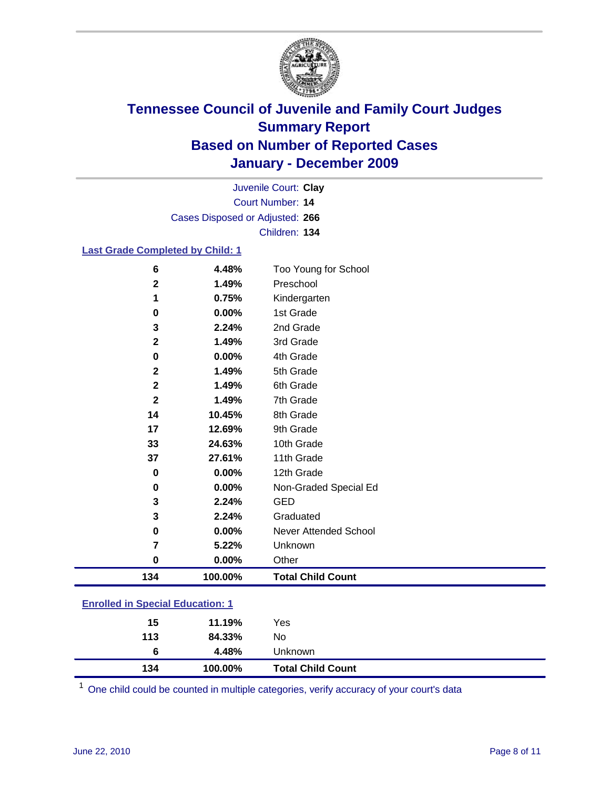

Court Number: **14** Juvenile Court: **Clay** Cases Disposed or Adjusted: **266** Children: **134**

#### **Last Grade Completed by Child: 1**

| $\bf 6$                                 | 4.48%   | Too Young for School         |  |
|-----------------------------------------|---------|------------------------------|--|
| 2                                       | 1.49%   | Preschool                    |  |
| 1                                       | 0.75%   | Kindergarten                 |  |
| $\mathbf 0$                             | 0.00%   | 1st Grade                    |  |
| 3                                       | 2.24%   | 2nd Grade                    |  |
| 2                                       | 1.49%   | 3rd Grade                    |  |
| $\bf{0}$                                | 0.00%   | 4th Grade                    |  |
| $\mathbf 2$                             | 1.49%   | 5th Grade                    |  |
| $\mathbf 2$                             | 1.49%   | 6th Grade                    |  |
| $\mathbf{2}$                            | 1.49%   | 7th Grade                    |  |
| 14                                      | 10.45%  | 8th Grade                    |  |
| 17                                      | 12.69%  | 9th Grade                    |  |
| 33                                      | 24.63%  | 10th Grade                   |  |
| 37                                      | 27.61%  | 11th Grade                   |  |
| $\pmb{0}$                               | 0.00%   | 12th Grade                   |  |
| $\mathbf 0$                             | 0.00%   | Non-Graded Special Ed        |  |
| 3                                       | 2.24%   | <b>GED</b>                   |  |
| 3                                       | 2.24%   | Graduated                    |  |
| $\bf{0}$                                | 0.00%   | <b>Never Attended School</b> |  |
| 7                                       | 5.22%   | Unknown                      |  |
| $\bf{0}$                                | 0.00%   | Other                        |  |
| 134                                     | 100.00% | <b>Total Child Count</b>     |  |
| <b>Enrolled in Special Education: 1</b> |         |                              |  |

One child could be counted in multiple categories, verify accuracy of your court's data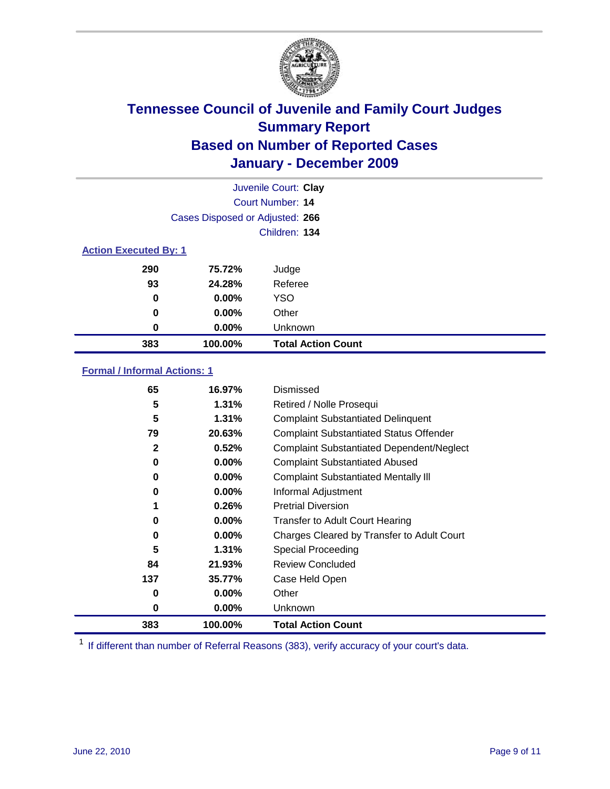

|                              | Juvenile Court: Clay            |                           |  |  |  |
|------------------------------|---------------------------------|---------------------------|--|--|--|
| Court Number: 14             |                                 |                           |  |  |  |
|                              | Cases Disposed or Adjusted: 266 |                           |  |  |  |
|                              | Children: 134                   |                           |  |  |  |
| <b>Action Executed By: 1</b> |                                 |                           |  |  |  |
| 290                          | 75.72%                          | Judge                     |  |  |  |
| 93                           | 24.28%                          | Referee                   |  |  |  |
| 0                            | $0.00\%$                        | <b>YSO</b>                |  |  |  |
| $\bf{0}$                     | $0.00\%$                        | Other                     |  |  |  |
| 0                            | $0.00\%$                        | Unknown                   |  |  |  |
| 383                          | 100.00%                         | <b>Total Action Count</b> |  |  |  |

### **Formal / Informal Actions: 1**

| 65           | 16.97%   | Dismissed                                        |
|--------------|----------|--------------------------------------------------|
| 5            | 1.31%    | Retired / Nolle Prosequi                         |
| 5            | 1.31%    | <b>Complaint Substantiated Delinquent</b>        |
| 79           | 20.63%   | <b>Complaint Substantiated Status Offender</b>   |
| $\mathbf{2}$ | 0.52%    | <b>Complaint Substantiated Dependent/Neglect</b> |
| 0            | $0.00\%$ | <b>Complaint Substantiated Abused</b>            |
| 0            | $0.00\%$ | <b>Complaint Substantiated Mentally III</b>      |
| 0            | $0.00\%$ | Informal Adjustment                              |
|              | 0.26%    | <b>Pretrial Diversion</b>                        |
| 0            | $0.00\%$ | <b>Transfer to Adult Court Hearing</b>           |
| 0            | 0.00%    | Charges Cleared by Transfer to Adult Court       |
| 5            | 1.31%    | Special Proceeding                               |
| 84           | 21.93%   | <b>Review Concluded</b>                          |
| 137          | 35.77%   | Case Held Open                                   |
| 0            | $0.00\%$ | Other                                            |
| 0            | $0.00\%$ | <b>Unknown</b>                                   |
| 383          | 100.00%  | <b>Total Action Count</b>                        |

<sup>1</sup> If different than number of Referral Reasons (383), verify accuracy of your court's data.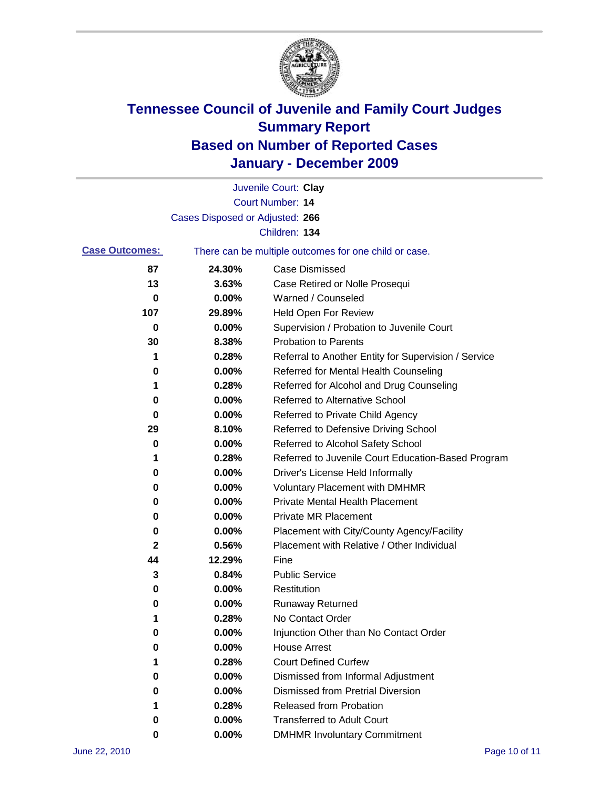

|                       |                                 | Juvenile Court: Clay                                  |
|-----------------------|---------------------------------|-------------------------------------------------------|
|                       |                                 | Court Number: 14                                      |
|                       | Cases Disposed or Adjusted: 266 |                                                       |
|                       |                                 | Children: 134                                         |
| <b>Case Outcomes:</b> |                                 | There can be multiple outcomes for one child or case. |
| 87                    | 24.30%                          | <b>Case Dismissed</b>                                 |
| 13                    | 3.63%                           | Case Retired or Nolle Prosequi                        |
| 0                     | 0.00%                           | Warned / Counseled                                    |
| 107                   | 29.89%                          | <b>Held Open For Review</b>                           |
| 0                     | 0.00%                           | Supervision / Probation to Juvenile Court             |
| 30                    | 8.38%                           | <b>Probation to Parents</b>                           |
| 1                     | 0.28%                           | Referral to Another Entity for Supervision / Service  |
| 0                     | 0.00%                           | Referred for Mental Health Counseling                 |
| 1                     | 0.28%                           | Referred for Alcohol and Drug Counseling              |
| 0                     | 0.00%                           | <b>Referred to Alternative School</b>                 |
| 0                     | 0.00%                           | Referred to Private Child Agency                      |
| 29                    | 8.10%                           | Referred to Defensive Driving School                  |
| 0                     | 0.00%                           | Referred to Alcohol Safety School                     |
| 1                     | 0.28%                           | Referred to Juvenile Court Education-Based Program    |
| 0                     | 0.00%                           | Driver's License Held Informally                      |
| 0                     | 0.00%                           | <b>Voluntary Placement with DMHMR</b>                 |
| 0                     | 0.00%                           | <b>Private Mental Health Placement</b>                |
| 0                     | 0.00%                           | <b>Private MR Placement</b>                           |
| 0                     | 0.00%                           | Placement with City/County Agency/Facility            |
| 2                     | 0.56%                           | Placement with Relative / Other Individual            |
| 44                    | 12.29%                          | Fine                                                  |
| 3                     | 0.84%                           | <b>Public Service</b>                                 |
| 0                     | 0.00%                           | Restitution                                           |
| 0                     | 0.00%                           | <b>Runaway Returned</b>                               |
| 1                     | 0.28%                           | No Contact Order                                      |
| 0                     | 0.00%                           | Injunction Other than No Contact Order                |
| 0                     | 0.00%                           | <b>House Arrest</b>                                   |
| 1                     | 0.28%                           | <b>Court Defined Curfew</b>                           |
| 0                     | 0.00%                           | Dismissed from Informal Adjustment                    |
| 0                     | 0.00%                           | <b>Dismissed from Pretrial Diversion</b>              |
| 1                     | 0.28%                           | <b>Released from Probation</b>                        |
| 0                     | 0.00%                           | <b>Transferred to Adult Court</b>                     |
| 0                     | $0.00\%$                        | <b>DMHMR Involuntary Commitment</b>                   |